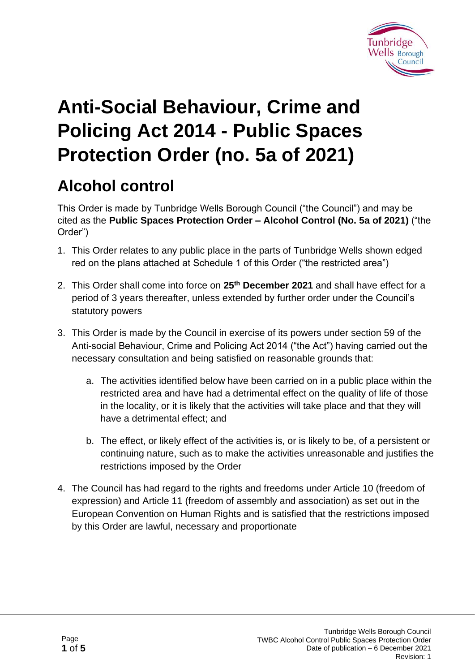

# **Anti-Social Behaviour, Crime and Policing Act 2014 - Public Spaces Protection Order (no. 5a of 2021)**

# **Alcohol control**

This Order is made by Tunbridge Wells Borough Council ("the Council") and may be cited as the **Public Spaces Protection Order – Alcohol Control (No. 5a of 2021)** ("the Order")

- 1. This Order relates to any public place in the parts of Tunbridge Wells shown edged red on the plans attached at Schedule 1 of this Order ("the restricted area")
- 2. This Order shall come into force on **25th December 2021** and shall have effect for a period of 3 years thereafter, unless extended by further order under the Council's statutory powers
- 3. This Order is made by the Council in exercise of its powers under section 59 of the Anti-social Behaviour, Crime and Policing Act 2014 ("the Act") having carried out the necessary consultation and being satisfied on reasonable grounds that:
	- a. The activities identified below have been carried on in a public place within the restricted area and have had a detrimental effect on the quality of life of those in the locality, or it is likely that the activities will take place and that they will have a detrimental effect; and
	- b. The effect, or likely effect of the activities is, or is likely to be, of a persistent or continuing nature, such as to make the activities unreasonable and justifies the restrictions imposed by the Order
- 4. The Council has had regard to the rights and freedoms under Article 10 (freedom of expression) and Article 11 (freedom of assembly and association) as set out in the European Convention on Human Rights and is satisfied that the restrictions imposed by this Order are lawful, necessary and proportionate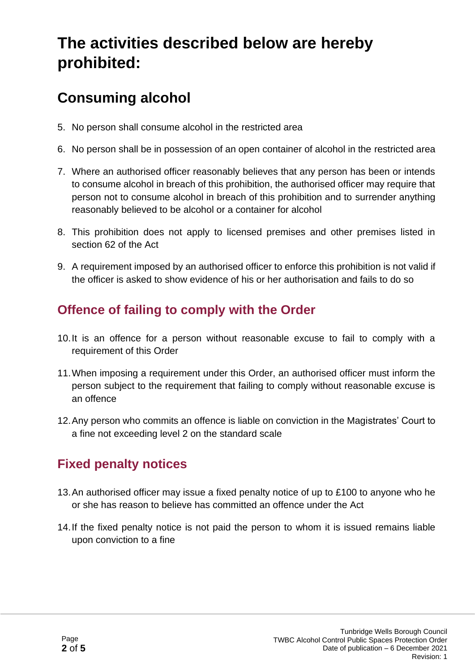# **The activities described below are hereby prohibited:**

## **Consuming alcohol**

- 5. No person shall consume alcohol in the restricted area
- 6. No person shall be in possession of an open container of alcohol in the restricted area
- 7. Where an authorised officer reasonably believes that any person has been or intends to consume alcohol in breach of this prohibition, the authorised officer may require that person not to consume alcohol in breach of this prohibition and to surrender anything reasonably believed to be alcohol or a container for alcohol
- 8. This prohibition does not apply to licensed premises and other premises listed in section 62 of the Act
- 9. A requirement imposed by an authorised officer to enforce this prohibition is not valid if the officer is asked to show evidence of his or her authorisation and fails to do so

#### **Offence of failing to comply with the Order**

- 10.It is an offence for a person without reasonable excuse to fail to comply with a requirement of this Order
- 11.When imposing a requirement under this Order, an authorised officer must inform the person subject to the requirement that failing to comply without reasonable excuse is an offence
- 12.Any person who commits an offence is liable on conviction in the Magistrates' Court to a fine not exceeding level 2 on the standard scale

### **Fixed penalty notices**

- 13.An authorised officer may issue a fixed penalty notice of up to £100 to anyone who he or she has reason to believe has committed an offence under the Act
- 14.If the fixed penalty notice is not paid the person to whom it is issued remains liable upon conviction to a fine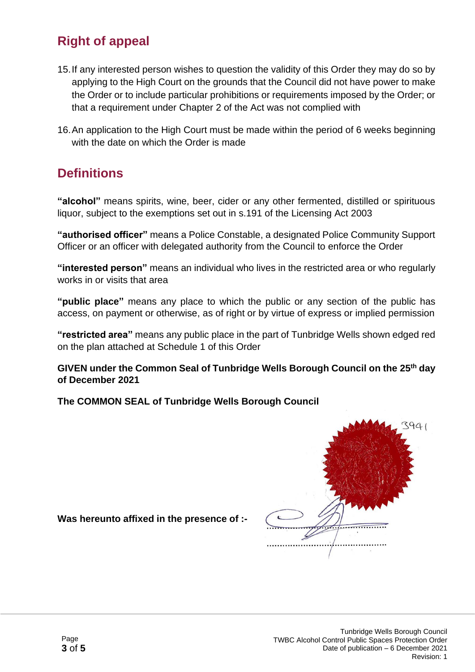#### **Right of appeal**

- 15.If any interested person wishes to question the validity of this Order they may do so by applying to the High Court on the grounds that the Council did not have power to make the Order or to include particular prohibitions or requirements imposed by the Order; or that a requirement under Chapter 2 of the Act was not complied with
- 16.An application to the High Court must be made within the period of 6 weeks beginning with the date on which the Order is made

#### **Definitions**

**"alcohol"** means spirits, wine, beer, cider or any other fermented, distilled or spirituous liquor, subject to the exemptions set out in s.191 of the Licensing Act 2003

**"authorised officer"** means a Police Constable, a designated Police Community Support Officer or an officer with delegated authority from the Council to enforce the Order

**"interested person"** means an individual who lives in the restricted area or who regularly works in or visits that area

**"public place"** means any place to which the public or any section of the public has access, on payment or otherwise, as of right or by virtue of express or implied permission

**"restricted area"** means any public place in the part of Tunbridge Wells shown edged red on the plan attached at Schedule 1 of this Order

**GIVEN under the Common Seal of Tunbridge Wells Borough Council on the 25th day of December 2021**

**The COMMON SEAL of Tunbridge Wells Borough Council**



**Was hereunto affixed in the presence of :-**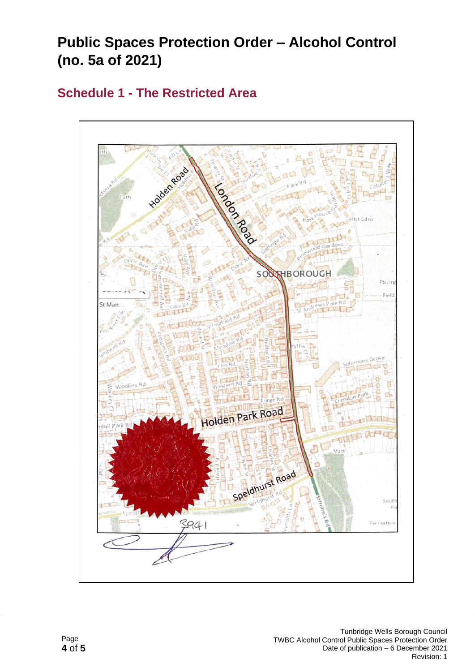### **Public Spaces Protection Order – Alcohol Control (no. 5a of 2021)**

#### **Schedule 1 - The Restricted Area**